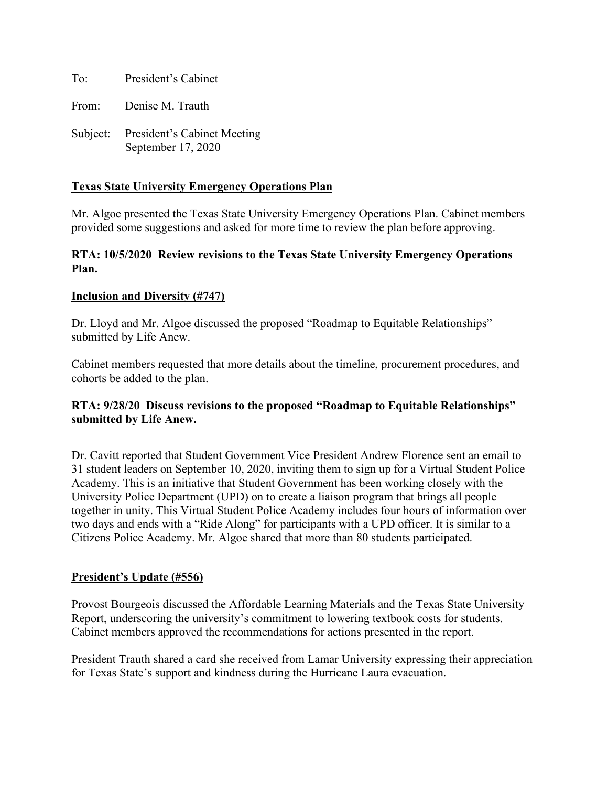To: President's Cabinet From: Denise M. Trauth

Subject: President's Cabinet Meeting September 17, 2020

# **Texas State University Emergency Operations Plan**

Mr. Algoe presented the Texas State University Emergency Operations Plan. Cabinet members provided some suggestions and asked for more time to review the plan before approving.

#### **RTA: 10/5/2020 Review revisions to the Texas State University Emergency Operations Plan.**

# **Inclusion and Diversity (#747)**

Dr. Lloyd and Mr. Algoe discussed the proposed "Roadmap to Equitable Relationships" submitted by Life Anew.

Cabinet members requested that more details about the timeline, procurement procedures, and cohorts be added to the plan.

# **RTA: 9/28/20 Discuss revisions to the proposed "Roadmap to Equitable Relationships" submitted by Life Anew.**

Dr. Cavitt reported that Student Government Vice President Andrew Florence sent an email to 31 student leaders on September 10, 2020, inviting them to sign up for a Virtual Student Police Academy. This is an initiative that Student Government has been working closely with the University Police Department (UPD) on to create a liaison program that brings all people together in unity. This Virtual Student Police Academy includes four hours of information over two days and ends with a "Ride Along" for participants with a UPD officer. It is similar to a Citizens Police Academy. Mr. Algoe shared that more than 80 students participated.

# **President's Update (#556)**

Provost Bourgeois discussed the Affordable Learning Materials and the Texas State University Report, underscoring the university's commitment to lowering textbook costs for students. Cabinet members approved the recommendations for actions presented in the report.

President Trauth shared a card she received from Lamar University expressing their appreciation for Texas State's support and kindness during the Hurricane Laura evacuation.